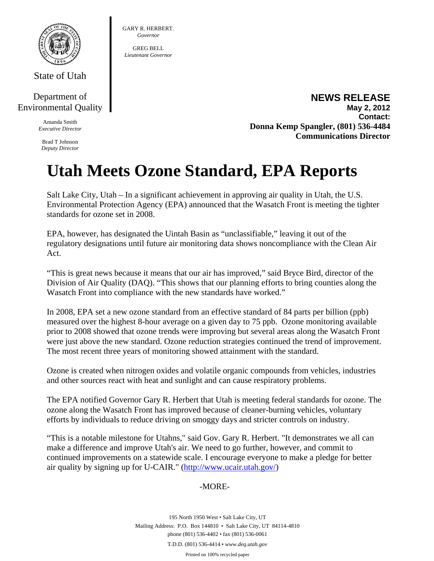

State of Utah

## Department of Environmental Quality

Amanda Smith *Executive Director* 

Brad T Johnson *Deputy Director* 

**NEWS RELEASE May 2, 2012 Contact: Donna Kemp Spangler, (801) 536-4484 Communications Director** 

## **Utah Meets Ozone Standard, EPA Reports**

GARY R. HERBERT. *Governor*  GREG BELL *Lieutenant Governor* 

Salt Lake City, Utah – In a significant achievement in approving air quality in Utah, the U.S. Environmental Protection Agency (EPA) announced that the Wasatch Front is meeting the tighter standards for ozone set in 2008.

EPA, however, has designated the Uintah Basin as "unclassifiable," leaving it out of the regulatory designations until future air monitoring data shows noncompliance with the Clean Air Act.

"This is great news because it means that our air has improved," said Bryce Bird, director of the Division of Air Quality (DAQ). "This shows that our planning efforts to bring counties along the Wasatch Front into compliance with the new standards have worked."

In 2008, EPA set a new ozone standard from an effective standard of 84 parts per billion (ppb) measured over the highest 8-hour average on a given day to 75 ppb. Ozone monitoring available prior to 2008 showed that ozone trends were improving but several areas along the Wasatch Front were just above the new standard. Ozone reduction strategies continued the trend of improvement. The most recent three years of monitoring showed attainment with the standard.

Ozone is created when nitrogen oxides and volatile organic compounds from vehicles, industries and other sources react with heat and sunlight and can cause respiratory problems.

The EPA notified Governor Gary R. Herbert that Utah is meeting federal standards for ozone. The ozone along the Wasatch Front has improved because of cleaner-burning vehicles, voluntary efforts by individuals to reduce driving on smoggy days and stricter controls on industry.

"This is a notable milestone for Utahns," said Gov. Gary R. Herbert. "It demonstrates we all can make a difference and improve Utah's air. We need to go further, however, and commit to continued improvements on a statewide scale. I encourage everyone to make a pledge for better air quality by signing up for U-CAIR." (http://www.ucair.utah.gov/)

## -MORE-

195 North 1950 West • Salt Lake City, UT Mailing Address: P.O. Box 144810 • Salt Lake City, UT 84114-4810 phone (801) 536-4402 • fax (801) 536-0061 T.D.D. (801) 536-4414 • *www.deq.utah.gov*  Printed on 100% recycled paper